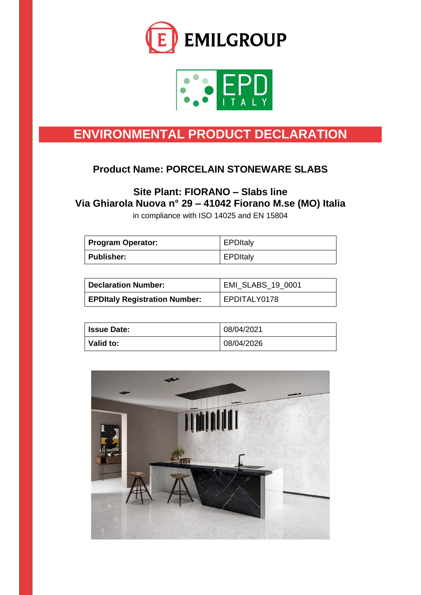



# **ENVIRONMENTAL PRODUCT DECLARATION**

## **Product Name: PORCELAIN STONEWARE SLABS**

## **Site Plant: FIORANO – Slabs line Via Ghiarola Nuova n° 29 – 41042 Fiorano M.se (MO) Italia**

in compliance with ISO 14025 and EN 15804

| <b>Program Operator:</b> | <b>EPDItaly</b> |
|--------------------------|-----------------|
| Publisher:               | <b>EPDItaly</b> |

| <b>Declaration Number:</b>           | EMI_SLABS_19_0001 |
|--------------------------------------|-------------------|
| <b>EPDItaly Registration Number:</b> | EPDITALY0178      |

| <b>Issue Date:</b> | 08/04/2021 |
|--------------------|------------|
| Valid to:          | 08/04/2026 |

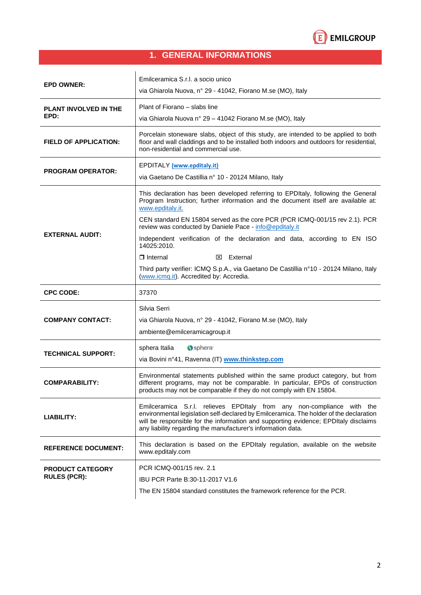

## **1. GENERAL INFORMATIONS**

| <b>EPD OWNER:</b>                    | Emilceramica S.r.l. a socio unico<br>via Ghiarola Nuova, nº 29 - 41042, Fiorano M.se (MO), Italy                                                                                                                                                                                                                        |
|--------------------------------------|-------------------------------------------------------------------------------------------------------------------------------------------------------------------------------------------------------------------------------------------------------------------------------------------------------------------------|
| <b>PLANT INVOLVED IN THE</b><br>EPD: | Plant of Fiorano - slabs line<br>via Ghiarola Nuova nº 29 - 41042 Fiorano M.se (MO), Italy                                                                                                                                                                                                                              |
| <b>FIELD OF APPLICATION:</b>         | Porcelain stoneware slabs, object of this study, are intended to be applied to both<br>floor and wall claddings and to be installed both indoors and outdoors for residential,<br>non-residential and commercial use.                                                                                                   |
| <b>PROGRAM OPERATOR:</b>             | <b>EPDITALY</b> (www.epditaly.it)<br>via Gaetano De Castillia nº 10 - 20124 Milano, Italy                                                                                                                                                                                                                               |
|                                      | This declaration has been developed referring to EPDItaly, following the General<br>Program Instruction; further information and the document itself are available at:<br>www.epditaly.it.                                                                                                                              |
|                                      | CEN standard EN 15804 served as the core PCR (PCR ICMQ-001/15 rev 2.1). PCR<br>review was conducted by Daniele Pace - info@epditaly.it                                                                                                                                                                                  |
| <b>EXTERNAL AUDIT:</b>               | Independent verification of the declaration and data, according to EN ISO<br>14025:2010.                                                                                                                                                                                                                                |
|                                      | $\Box$ Internal<br>$\boxtimes$ External                                                                                                                                                                                                                                                                                 |
|                                      | Third party verifier: ICMQ S.p.A., via Gaetano De Castillia n°10 - 20124 Milano, Italy<br>(www.icmq.it). Accredited by: Accredia.                                                                                                                                                                                       |
|                                      |                                                                                                                                                                                                                                                                                                                         |
| <b>CPC CODE:</b>                     | 37370                                                                                                                                                                                                                                                                                                                   |
| <b>COMPANY CONTACT:</b>              | Silvia Serri<br>via Ghiarola Nuova, nº 29 - 41042, Fiorano M.se (MO), Italy<br>ambiente@emilceramicagroup.it                                                                                                                                                                                                            |
| <b>TECHNICAL SUPPORT:</b>            | Sphera <sup>®</sup><br>sphera Italia<br>via Bovini nº41, Ravenna (IT) www.thinkstep.com                                                                                                                                                                                                                                 |
| <b>COMPARABILITY:</b>                | Environmental statements published within the same product category, but from<br>different programs, may not be comparable. In particular, EPDs of construction<br>products may not be comparable if they do not comply with EN 15804.                                                                                  |
| LIABILITY:                           | Emilceramica S.r.l. relieves EPDItaly from any non-compliance with the<br>environmental legislation self-declared by Emilceramica. The holder of the declaration<br>will be responsible for the information and supporting evidence; EPDItaly disclaims<br>any liability regarding the manufacturer's information data. |
| <b>REFERENCE DOCUMENT:</b>           | This declaration is based on the EPDItaly regulation, available on the website<br>www.epditaly.com                                                                                                                                                                                                                      |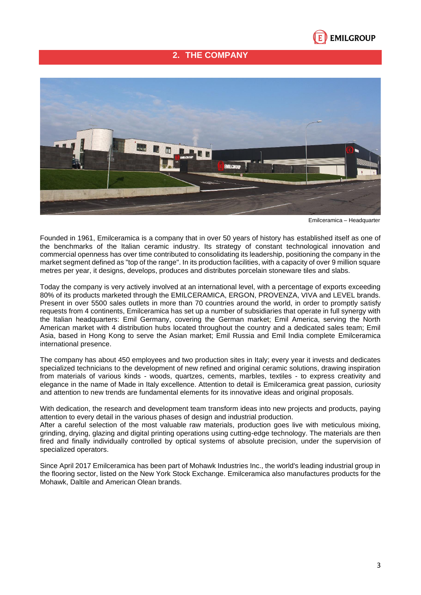

## **2. THE COMPANY**



Emilceramica – Headquarter

Founded in 1961, Emilceramica is a company that in over 50 years of history has established itself as one of the benchmarks of the Italian ceramic industry. Its strategy of constant technological innovation and commercial openness has over time contributed to consolidating its leadership, positioning the company in the market segment defined as "top of the range". In its production facilities, with a capacity of over 9 million square metres per year, it designs, develops, produces and distributes porcelain stoneware tiles and slabs.

Today the company is very actively involved at an international level, with a percentage of exports exceeding 80% of its products marketed through the EMILCERAMICA, ERGON, PROVENZA, VIVA and LEVEL brands. Present in over 5500 sales outlets in more than 70 countries around the world, in order to promptly satisfy requests from 4 continents, Emilceramica has set up a number of subsidiaries that operate in full synergy with the Italian headquarters: Emil Germany, covering the German market; Emil America, serving the North American market with 4 distribution hubs located throughout the country and a dedicated sales team; Emil Asia, based in Hong Kong to serve the Asian market; Emil Russia and Emil India complete Emilceramica international presence.

The company has about 450 employees and two production sites in Italy; every year it invests and dedicates specialized technicians to the development of new refined and original ceramic solutions, drawing inspiration from materials of various kinds - woods, quartzes, cements, marbles, textiles - to express creativity and elegance in the name of Made in Italy excellence. Attention to detail is Emilceramica great passion, curiosity and attention to new trends are fundamental elements for its innovative ideas and original proposals.

With dedication, the research and development team transform ideas into new projects and products, paying attention to every detail in the various phases of design and industrial production.

After a careful selection of the most valuable raw materials, production goes live with meticulous mixing, grinding, drying, glazing and digital printing operations using cutting-edge technology. The materials are then fired and finally individually controlled by optical systems of absolute precision, under the supervision of specialized operators.

Since April 2017 Emilceramica has been part of Mohawk Industries Inc., the world's leading industrial group in the flooring sector, listed on the New York Stock Exchange. Emilceramica also manufactures products for the Mohawk, Daltile and American Olean brands.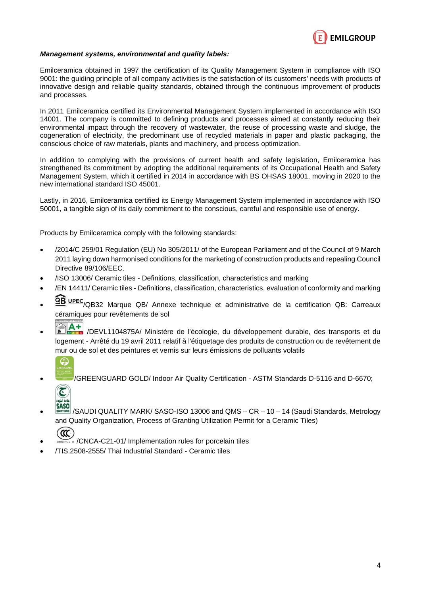

#### *Management systems, environmental and quality labels:*

Emilceramica obtained in 1997 the certification of its Quality Management System in compliance with ISO 9001: the guiding principle of all company activities is the satisfaction of its customers' needs with products of innovative design and reliable quality standards, obtained through the continuous improvement of products and processes.

In 2011 Emilceramica certified its Environmental Management System implemented in accordance with ISO 14001. The company is committed to defining products and processes aimed at constantly reducing their environmental impact through the recovery of wastewater, the reuse of processing waste and sludge, the cogeneration of electricity, the predominant use of recycled materials in paper and plastic packaging, the conscious choice of raw materials, plants and machinery, and process optimization.

In addition to complying with the provisions of current health and safety legislation, Emilceramica has strengthened its commitment by adopting the additional requirements of its Occupational Health and Safety Management System, which it certified in 2014 in accordance with BS OHSAS 18001, moving in 2020 to the new international standard ISO 45001.

Lastly, in 2016, Emilceramica certified its Energy Management System implemented in accordance with ISO 50001, a tangible sign of its daily commitment to the conscious, careful and responsible use of energy.

Products by Emilceramica comply with the following standards:

- /2014/C 259/01 Regulation (EU) No 305/2011/ of the European Parliament and of the Council of 9 March 2011 laying down harmonised conditions for the marketing of construction products and repealing Council Directive 89/106/EEC.
- /ISO 13006/ Ceramic tiles Definitions, classification, characteristics and marking
- /EN 14411/ Ceramic tiles Definitions, classification, characteristics, evaluation of conformity and marking
- OBUPEC/QB32 Marque QB/ Annexe technique et administrative de la certification QB: Carreaux céramiques pour revêtements de sol
- /DEVL1104875A/ Ministère de l'écologie, du développement durable, des transports et du logement - Arrêté du 19 avril 2011 relatif à l'étiquetage des produits de construction ou de revêtement de mur ou de sol et des peintures et vernis sur leurs émissions de polluants volatils



• /GREENGUARD GOLD/ Indoor Air Quality Certification - ASTM Standards D-5116 and D-6670;



**SASO**<br>• WHIT WAS /SAUDI QUALITY MARK/ SASO-ISO 13006 and QMS – CR – 10 – 14 (Saudi Standards, Metrology and Quality Organization, Process of Granting Utilization Permit for a Ceramic Tiles)

**CCC** 

- /CNCA-C21-01/ Implementation rules for porcelain tiles
- /TIS.2508-2555/ Thai Industrial Standard Ceramic tiles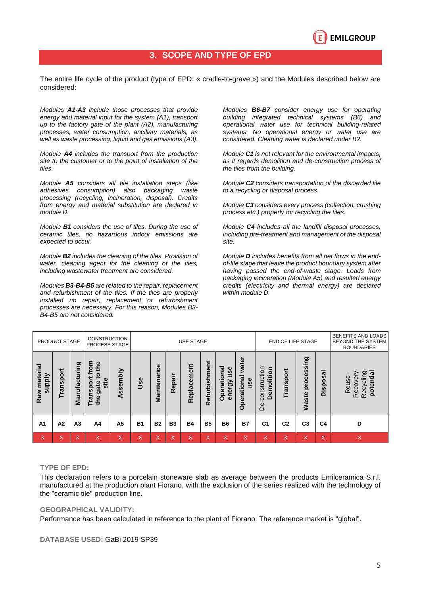

## **3. SCOPE AND TYPE OF EPD**

The entire life cycle of the product (type of EPD: « cradle-to-grave ») and the Modules described below are considered:

*Modules A1-A3 include those processes that provide energy and material input for the system (A1), transport up to the factory gate of the plant (A2), manufacturing processes, water consumption, ancillary materials, as well as waste processing, liquid and gas emissions (A3).*

*Module A4 includes the transport from the production site to the customer or to the point of installation of the tiles.*

*Module A5 considers all tile installation steps (like adhesives consumption) also packaging waste processing (recycling, incineration, disposal). Credits from energy and material substitution are declared in module D.*

*Module B1 considers the use of tiles. During the use of ceramic tiles, no hazardous indoor emissions are expected to occur.* 

*Module B2 includes the cleaning of the tiles. Provision of water, cleaning agent for the cleaning of the tiles, including wastewater treatment are considered.*

*Modules B3-B4-B5 are related to the repair, replacement and refurbishment of the tiles. If the tiles are properly installed no repair, replacement or refurbishment processes are necessary. For this reason, Modules B3- B4-B5 are not considered.*

*Modules B6-B7 consider energy use for operating building integrated technical systems (B6) and operational water use for technical building-related systems. No operational energy or water use are considered. Cleaning water is declared under B2.* 

*Module C1 is not relevant for the environmental impacts, as it regards demolition and de-construction process of the tiles from the building.* 

*Module C2 considers transportation of the discarded tile to a recycling or disposal process.* 

*Module C3 considers every process (collection, crushing process etc.) properly for recycling the tiles.*

*Module C4 includes all the landfill disposal processes, including pre-treatment and management of the disposal site.* 

*Module D includes benefits from all net flows in the endof-life stage that leave the product boundary system after having passed the end-of-waste stage. Loads from packaging incineration (Module A5) and resulted energy credits (electricity and thermal energy) are declared within module D.*

|                                  | PRODUCT STAGE  |                   | CONSTRUCTION<br>PROCESS STAGE                           |          |           | <b>USE STAGE</b><br>END OF LIFE STAGE |           |                   |                                    |                             |                             | BENEFITS AND LOADS<br>BEYOND THE SYSTEM<br><b>BOUNDARIES</b> |                   |                                |                                                        |                                                        |
|----------------------------------|----------------|-------------------|---------------------------------------------------------|----------|-----------|---------------------------------------|-----------|-------------------|------------------------------------|-----------------------------|-----------------------------|--------------------------------------------------------------|-------------------|--------------------------------|--------------------------------------------------------|--------------------------------------------------------|
| material<br><b>Alddns</b><br>Raw | Transpor       | ත<br>Manufacturin | <b>E</b><br>the<br>o<br>site<br>Transpor<br>gate<br>the | Assembly | Use       | Maintenance                           | Repair    | Replacement       | Refurbishment                      | use<br>Operationa<br>energy | water<br>Operational<br>use | construction<br>olition<br>ξ<br>≏<br>ف                       | <u>ō</u><br>ransı | <b>Buiss</b><br>proce<br>Waste | ಸ<br>U)<br><u>õ</u><br>$\overline{\omega}$<br>$\Omega$ | potential<br>Recycling<br>Reuse<br>$\circ$<br>မ္မ<br>≃ |
| A <sub>1</sub>                   | A <sub>2</sub> | A <sub>3</sub>    | A4                                                      | А5       | <b>B1</b> | <b>B2</b>                             | <b>B3</b> | <b>B4</b>         | <b>B5</b>                          | <b>B6</b>                   | <b>B7</b>                   | C <sub>1</sub>                                               | C <sub>2</sub>    | C <sub>3</sub>                 | C4                                                     | D                                                      |
| X                                | X              | $\checkmark$<br>⋏ | X                                                       | X        | X         | X                                     | X         | $\checkmark$<br>⋏ | $\checkmark$<br>$\curvearrowright$ | X                           | X                           | $\checkmark$<br>$\sim$                                       | $\checkmark$<br>∧ | X                              | $\checkmark$<br>$\sim$                                 | X                                                      |

#### **TYPE OF EPD:**

This declaration refers to a porcelain stoneware slab as average between the products Emilceramica S.r.l. manufactured at the production plant Fiorano, with the exclusion of the series realized with the technology of the "ceramic tile" production line.

#### **GEOGRAPHICAL VALIDITY:**

Performance has been calculated in reference to the plant of Fiorano. The reference market is "global".

#### **DATABASE USED:** GaBi 2019 SP39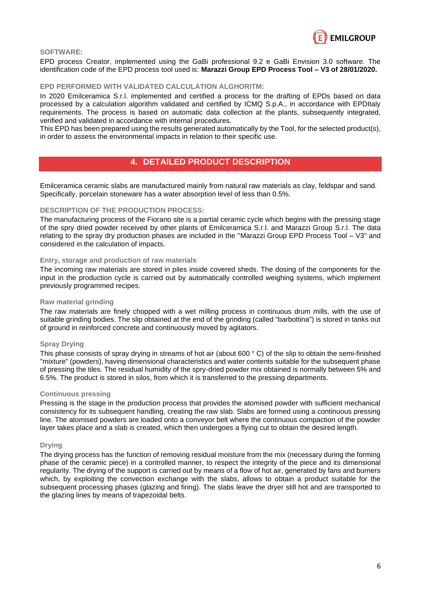

#### **SOFTWARE:**

EPD process Creator, implemented using the GaBi professional 9.2 e GaBi Envision 3.0 software. The identification code of the EPD process tool used is: **Marazzi Group EPD Process Tool – V3 of 28/01/2020.**

#### **EPD PERFORMED WITH VALIDATED CALCULATION ALGHORITM:**

In 2020 Emilceramica S.r.l. implemented and certified a process for the drafting of EPDs based on data processed by a calculation algorithm validated and certified by ICMQ S.p.A., in accordance with EPDItaly requirements. The process is based on automatic data collection at the plants, subsequently integrated, verified and validated in accordance with internal procedures.

This EPD has been prepared using the results generated automatically by the Tool, for the selected product(s), in order to assess the environmental impacts in relation to their specific use.

## **4. DETAILED PRODUCT DESCRIPTION**

Emilceramica ceramic slabs are manufactured mainly from natural raw materials as clay, feldspar and sand. Specifically, porcelain stoneware has a water absorption level of less than 0.5%.

#### **DESCRIPTION OF THE PRODUCTION PROCESS:**

The manufacturing process of the Fiorano site is a partial ceramic cycle which begins with the pressing stage of the spry dried powder received by other plants of Emilceramica S.r.l. and Marazzi Group S.r.l. The data relating to the spray dry production phases are included in the "Marazzi Group EPD Process Tool – V3" and considered in the calculation of impacts.

#### **Entry, storage and production of raw materials**

The incoming raw materials are stored in piles inside covered sheds. The dosing of the components for the input in the production cycle is carried out by automatically controlled weighing systems, which implement previously programmed recipes.

#### **Raw material grinding**

The raw materials are finely chopped with a wet milling process in continuous drum mills, with the use of suitable grinding bodies. The slip obtained at the end of the grinding (called "barbottina") is stored in tanks out of ground in reinforced concrete and continuously moved by agitators.

#### **Spray Drying**

This phase consists of spray drying in streams of hot air (about 600 °C) of the slip to obtain the semi-finished "mixture" (powders), having dimensional characteristics and water contents suitable for the subsequent phase of pressing the tiles. The residual humidity of the spry-dried powder mix obtained is normally between 5% and 6.5%. The product is stored in silos, from which it is transferred to the pressing departments.

#### **Continuous pressing**

Pressing is the stage in the production process that provides the atomised powder with sufficient mechanical consistency for its subsequent handling, creating the raw slab. Slabs are formed using a continuous pressing line. The atomised powders are loaded onto a conveyor belt where the continuous compaction of the powder layer takes place and a slab is created, which then undergoes a flying cut to obtain the desired length.

#### **Drying**

The drying process has the function of removing residual moisture from the mix (necessary during the forming phase of the ceramic piece) in a controlled manner, to respect the integrity of the piece and its dimensional regularity. The drying of the support is carried out by means of a flow of hot air, generated by fans and burners which, by exploiting the convection exchange with the slabs, allows to obtain a product suitable for the subsequent processing phases (glazing and firing). The slabs leave the dryer still hot and are transported to the glazing lines by means of trapezoidal belts.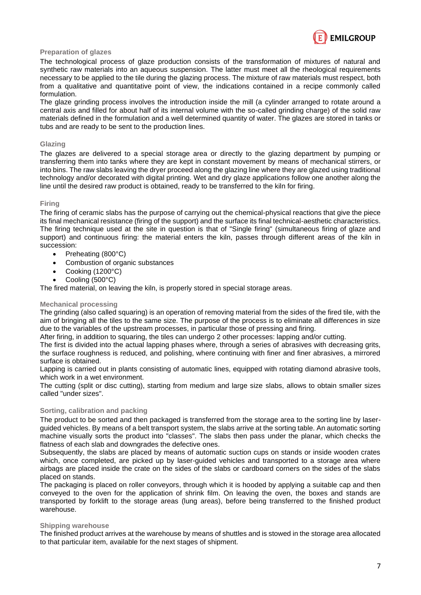

#### **Preparation of glazes**

The technological process of glaze production consists of the transformation of mixtures of natural and synthetic raw materials into an aqueous suspension. The latter must meet all the rheological requirements necessary to be applied to the tile during the glazing process. The mixture of raw materials must respect, both from a qualitative and quantitative point of view, the indications contained in a recipe commonly called formulation.

The glaze grinding process involves the introduction inside the mill (a cylinder arranged to rotate around a central axis and filled for about half of its internal volume with the so-called grinding charge) of the solid raw materials defined in the formulation and a well determined quantity of water. The glazes are stored in tanks or tubs and are ready to be sent to the production lines.

#### **Glazing**

The glazes are delivered to a special storage area or directly to the glazing department by pumping or transferring them into tanks where they are kept in constant movement by means of mechanical stirrers, or into bins. The raw slabs leaving the dryer proceed along the glazing line where they are glazed using traditional technology and/or decorated with digital printing. Wet and dry glaze applications follow one another along the line until the desired raw product is obtained, ready to be transferred to the kiln for firing.

#### **Firing**

The firing of ceramic slabs has the purpose of carrying out the chemical-physical reactions that give the piece its final mechanical resistance (firing of the support) and the surface its final technical-aesthetic characteristics. The firing technique used at the site in question is that of "Single firing" (simultaneous firing of glaze and support) and continuous firing: the material enters the kiln, passes through different areas of the kiln in succession:

- Preheating (800°C)
- Combustion of organic substances
- Cooking (1200°C)
- Cooling (500°C)

The fired material, on leaving the kiln, is properly stored in special storage areas.

#### **Mechanical processing**

The grinding (also called squaring) is an operation of removing material from the sides of the fired tile, with the aim of bringing all the tiles to the same size. The purpose of the process is to eliminate all differences in size due to the variables of the upstream processes, in particular those of pressing and firing.

After firing, in addition to squaring, the tiles can undergo 2 other processes: lapping and/or cutting.

The first is divided into the actual lapping phases where, through a series of abrasives with decreasing grits, the surface roughness is reduced, and polishing, where continuing with finer and finer abrasives, a mirrored surface is obtained.

Lapping is carried out in plants consisting of automatic lines, equipped with rotating diamond abrasive tools, which work in a wet environment.

The cutting (split or disc cutting), starting from medium and large size slabs, allows to obtain smaller sizes called "under sizes".

#### **Sorting, calibration and packing**

The product to be sorted and then packaged is transferred from the storage area to the sorting line by laserguided vehicles. By means of a belt transport system, the slabs arrive at the sorting table. An automatic sorting machine visually sorts the product into "classes". The slabs then pass under the planar, which checks the flatness of each slab and downgrades the defective ones.

Subsequently, the slabs are placed by means of automatic suction cups on stands or inside wooden crates which, once completed, are picked up by laser-guided vehicles and transported to a storage area where airbags are placed inside the crate on the sides of the slabs or cardboard corners on the sides of the slabs placed on stands.

The packaging is placed on roller conveyors, through which it is hooded by applying a suitable cap and then conveyed to the oven for the application of shrink film. On leaving the oven, the boxes and stands are transported by forklift to the storage areas (lung areas), before being transferred to the finished product warehouse.

#### **Shipping warehouse**

The finished product arrives at the warehouse by means of shuttles and is stowed in the storage area allocated to that particular item, available for the next stages of shipment.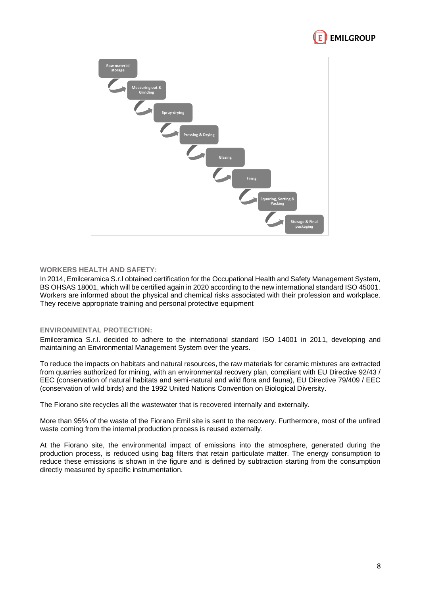



#### **WORKERS HEALTH AND SAFETY:**

In 2014, Emilceramica S.r.l obtained certification for the Occupational Health and Safety Management System, BS OHSAS 18001, which will be certified again in 2020 according to the new international standard ISO 45001. Workers are informed about the physical and chemical risks associated with their profession and workplace. They receive appropriate training and personal protective equipment

#### **ENVIRONMENTAL PROTECTION:**

Emilceramica S.r.l. decided to adhere to the international standard ISO 14001 in 2011, developing and maintaining an Environmental Management System over the years.

To reduce the impacts on habitats and natural resources, the raw materials for ceramic mixtures are extracted from quarries authorized for mining, with an environmental recovery plan, compliant with EU Directive 92/43 / EEC (conservation of natural habitats and semi-natural and wild flora and fauna), EU Directive 79/409 / EEC (conservation of wild birds) and the 1992 United Nations Convention on Biological Diversity.

The Fiorano site recycles all the wastewater that is recovered internally and externally.

More than 95% of the waste of the Fiorano Emil site is sent to the recovery. Furthermore, most of the unfired waste coming from the internal production process is reused externally.

At the Fiorano site, the environmental impact of emissions into the atmosphere, generated during the production process, is reduced using bag filters that retain particulate matter. The energy consumption to reduce these emissions is shown in the figure and is defined by subtraction starting from the consumption directly measured by specific instrumentation.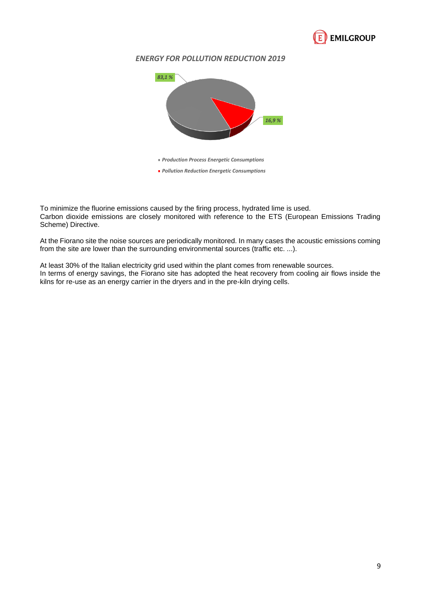

## *ENERGY FOR POLLUTION REDUCTION 2019*



To minimize the fluorine emissions caused by the firing process, hydrated lime is used. Carbon dioxide emissions are closely monitored with reference to the ETS (European Emissions Trading Scheme) Directive.

At the Fiorano site the noise sources are periodically monitored. In many cases the acoustic emissions coming from the site are lower than the surrounding environmental sources (traffic etc. ...).

At least 30% of the Italian electricity grid used within the plant comes from renewable sources. In terms of energy savings, the Fiorano site has adopted the heat recovery from cooling air flows inside the kilns for re-use as an energy carrier in the dryers and in the pre-kiln drying cells.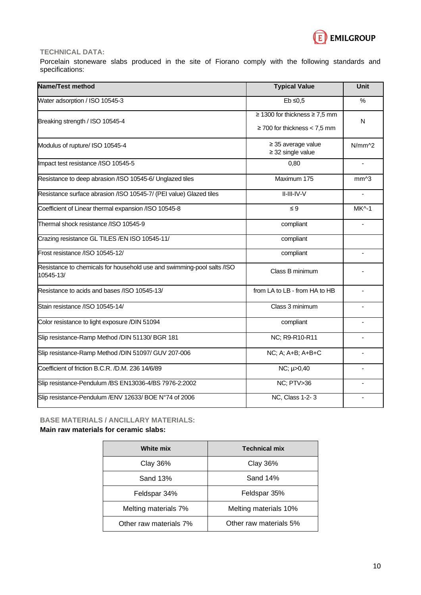

### **TECHNICAL DATA:**

Porcelain stoneware slabs produced in the site of Fiorano comply with the following standards and specifications:

| Name/Test method                                                                    | <b>Typical Value</b>                                               | Unit            |
|-------------------------------------------------------------------------------------|--------------------------------------------------------------------|-----------------|
| Water adsorption / ISO 10545-3                                                      | $Eb \le 0.5$                                                       | $\%$            |
| Breaking strength / ISO 10545-4                                                     | ≥ 1300 for thickness ≥ 7,5 mm<br>$\geq$ 700 for thickness < 7,5 mm | N               |
| Modulus of rupture/ ISO 10545-4                                                     | $\geq$ 35 average value<br>$\geq$ 32 single value                  | N/mm 2          |
| Impact test resistance /ISO 10545-5                                                 | 0,80                                                               |                 |
| Resistance to deep abrasion /ISO 10545-6/ Unglazed tiles                            | Maximum 175                                                        | mm <sub>3</sub> |
| Resistance surface abrasion /ISO 10545-7/ (PEI value) Glazed tiles                  | II-III-IV-V                                                        |                 |
| Coefficient of Linear thermal expansion /ISO 10545-8                                | $\leq 9$                                                           | <b>MK^-1</b>    |
| Thermal shock resistance /ISO 10545-9                                               | compliant                                                          |                 |
| Crazing resistance GL TILES / EN ISO 10545-11/                                      | compliant                                                          |                 |
| Frost resistance /ISO 10545-12/                                                     | compliant                                                          |                 |
| Resistance to chemicals for household use and swimming-pool salts /ISO<br>10545-13/ | Class B minimum                                                    |                 |
| Resistance to acids and bases /ISO 10545-13/                                        | from LA to LB - from HA to HB                                      |                 |
| Stain resistance /ISO 10545-14/                                                     | Class 3 minimum                                                    |                 |
| Color resistance to light exposure /DIN 51094                                       | compliant                                                          |                 |
| Slip resistance-Ramp Method /DIN 51130/ BGR 181                                     | NC; R9-R10-R11                                                     |                 |
| Slip resistance-Ramp Method /DIN 51097/ GUV 207-006                                 | NC; A; A+B; A+B+C                                                  |                 |
| Coefficient of friction B.C.R. /D.M. 236 14/6/89                                    | NC; µ>0,40                                                         |                 |
| Slip resistance-Pendulum /BS EN13036-4/BS 7976-2:2002                               | NC; PTV>36                                                         |                 |
| Slip resistance-Pendulum /ENV 12633/ BOE N°74 of 2006                               | NC, Class 1-2-3                                                    |                 |

### **BASE MATERIALS / ANCILLARY MATERIALS:**

**Main raw materials for ceramic slabs:**

| White mix              | <b>Technical mix</b>   |
|------------------------|------------------------|
| <b>Clay 36%</b>        | <b>Clay 36%</b>        |
| <b>Sand 13%</b>        | Sand 14%               |
| Feldspar 34%           | Feldspar 35%           |
| Melting materials 7%   | Melting materials 10%  |
| Other raw materials 7% | Other raw materials 5% |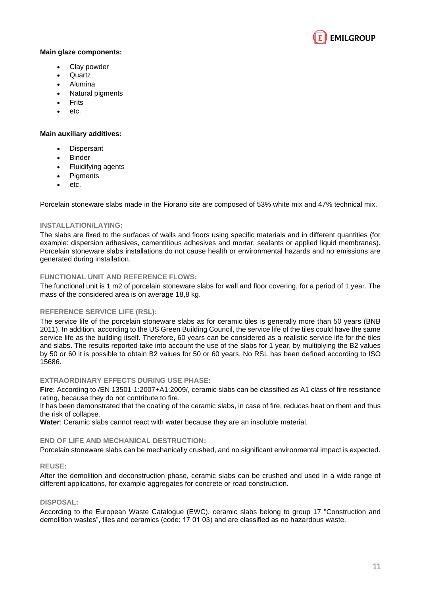

#### **Main glaze components:**

- Clay powder
- Quartz
- Alumina
- Natural pigments
- Frits
- etc.

#### **Main auxiliary additives:**

- Dispersant
- **Binder**
- Fluidifying agents
- **Pigments**
- etc.

Porcelain stoneware slabs made in the Fiorano site are composed of 53% white mix and 47% technical mix.

#### **INSTALLATION/LAYING:**

The slabs are fixed to the surfaces of walls and floors using specific materials and in different quantities (for example: dispersion adhesives, cementitious adhesives and mortar, sealants or applied liquid membranes). Porcelain stoneware slabs installations do not cause health or environmental hazards and no emissions are generated during installation.

#### **FUNCTIONAL UNIT AND REFERENCE FLOWS:**

The functional unit is 1 m2 of porcelain stoneware slabs for wall and floor covering, for a period of 1 year. The mass of the considered area is on average 18,8 kg.

#### **REFERENCE SERVICE LIFE (RSL):**

The service life of the porcelain stoneware slabs as for ceramic tiles is generally more than 50 years (BNB 2011). In addition, according to the US Green Building Council, the service life of the tiles could have the same service life as the building itself. Therefore, 60 years can be considered as a realistic service life for the tiles and slabs. The results reported take into account the use of the slabs for 1 year, by multiplying the B2 values by 50 or 60 it is possible to obtain B2 values for 50 or 60 years. No RSL has been defined according to ISO 15686.

#### **EXTRAORDINARY EFFECTS DURING USE PHASE:**

**Fire**: According to /EN 13501-1:2007+A1:2009/, ceramic slabs can be classified as A1 class of fire resistance rating, because they do not contribute to fire.

It has been demonstrated that the coating of the ceramic slabs, in case of fire, reduces heat on them and thus the risk of collapse.

**Water**: Ceramic slabs cannot react with water because they are an insoluble material.

#### **END OF LIFE AND MECHANICAL DESTRUCTION:**

Porcelain stoneware slabs can be mechanically crushed, and no significant environmental impact is expected.

#### **REUSE:**

After the demolition and deconstruction phase, ceramic slabs can be crushed and used in a wide range of different applications, for example aggregates for concrete or road construction.

#### **DISPOSAL:**

According to the European Waste Catalogue (EWC), ceramic slabs belong to group 17 "Construction and demolition wastes", tiles and ceramics (code: 17 01 03) and are classified as no hazardous waste.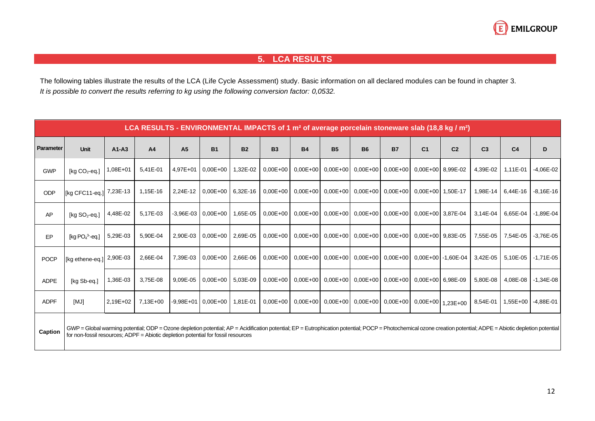

## **5. LCA RESULTS**

The following tables illustrate the results of the LCA (Life Cycle Assessment) study. Basic information on all declared modules can be found in chapter 3. *It is possible to convert the results referring to kg using the following conversion factor: 0,0532.*

|             | LCA RESULTS - ENVIRONMENTAL IMPACTS of 1 $m2$ of average porcelain stoneware slab (18,8 kg / $m2$ )                                                                                                                                                                                                  |              |                |                |                            |           |              |           |           |                                                                       |           |                |                |                |                |                    |
|-------------|------------------------------------------------------------------------------------------------------------------------------------------------------------------------------------------------------------------------------------------------------------------------------------------------------|--------------|----------------|----------------|----------------------------|-----------|--------------|-----------|-----------|-----------------------------------------------------------------------|-----------|----------------|----------------|----------------|----------------|--------------------|
| Parameter   | <b>Unit</b>                                                                                                                                                                                                                                                                                          | $A1 - A3$    | A <sub>4</sub> | A <sub>5</sub> | <b>B1</b>                  | <b>B2</b> | <b>B3</b>    | <b>B4</b> | <b>B5</b> | <b>B6</b>                                                             | <b>B7</b> | C <sub>1</sub> | C <sub>2</sub> | C <sub>3</sub> | C <sub>4</sub> | D                  |
| <b>GWP</b>  | [ $kq CO2$ -eq.]                                                                                                                                                                                                                                                                                     | $1.08E + 01$ | 5.41E-01       |                | 4.97E+01 0.00E+00          | 1,32E-02  | $0.00E + 00$ |           |           | $0.00E+00$ $0.00E+00$ $0.00E+00$ $0.00E+00$ $0.00E+00$ $8.99E-02$     |           |                |                | 4,39E-02       | 1.11E-01       | $-4.06E - 02$      |
| ODP         | Ika CFC11-ea.1                                                                                                                                                                                                                                                                                       | 7,23E-13     | 1,15E-16       |                | 2,24E-12 0.00E+00 6.32E-16 |           | $0.00E + 00$ |           |           | $0.00E+00$ $0.00E+00$ $0.00E+00$ $0.00E+00$ $0.00E+00$ $1.50E-17$     |           |                |                | 1,98E-14       |                | 6,44E-16 -8,16E-16 |
| AP          | [kg $SO_2$ -eg.]                                                                                                                                                                                                                                                                                     | 4,48E-02     | 5.17E-03       |                | $-3,96E-03$ 0.00E+00       | 1,65E-05  | $0.00E + 00$ |           |           | $0,00E+00$ 0,00E+00 0,00E+00 0,00E+00 0,00E+00 3,87E-04               |           |                |                | 3.14E-04       |                | 6,65E-04 -1,89E-04 |
| EP          | [kg $PO43$ -eg.]                                                                                                                                                                                                                                                                                     | 5,29E-03     | 5,90E-04       |                | 2,90E-03 0.00E+00 2.69E-05 |           | $0.00E + 00$ |           |           | $0.00E+00$ $0.00E+00$ $0.00E+00$ $0.00E+00$ $0.00E+00$ $9.83E-05$     |           |                |                | 7,55E-05       | 7,54E-05       | $-3,76E-05$        |
| <b>POCP</b> | [kg ethene-eg.]                                                                                                                                                                                                                                                                                      | 2,90E-03     | 2,66E-04       |                | 7,39E-03 0.00E+00 2.66E-06 |           | $0.00E + 00$ |           |           | $0.00E + 00$ 0.00E + 00 0.00E + 00 0.00E + 00 0.00E + 00 - 1.60E - 04 |           |                |                | 3,42E-05       |                | 5,10E-05 -1,71E-05 |
| <b>ADPE</b> | [kg Sb-eg.]                                                                                                                                                                                                                                                                                          | 1,36E-03     | 3,75E-08       | 9.09E-05       | $0.00E+00$ 5.03E-09        |           | $0.00E + 00$ |           |           | $0.00E+00$ $0.00E+00$ $0.00E+00$ $0.00E+00$ $0.00E+00$ $6.98E-09$     |           |                |                | 5,80E-08       |                | 4,08E-08 -1,34E-08 |
| <b>ADPF</b> | [MJ]                                                                                                                                                                                                                                                                                                 | 2,19E+02     | $7,13E+00$     |                | $-9,98E+01$ 0.00E+00       | 1,81E-01  | $0.00E + 00$ |           |           | 0,00E+00 0,00E+00 0,00E+00 0,00E+00 0,00E+00 1,23E+00                 |           |                |                | 8,54E-01       |                | 1,55E+00 -4,88E-01 |
| Caption     | GWP = Global warming potential; ODP = Ozone depletion potential; AP = Acidification potential; EP = Eutrophication potential; POCP = Photochemical ozone creation potential; ADPE = Abiotic depletion potential<br>for non-fossil resources; ADPF = Abiotic depletion potential for fossil resources |              |                |                |                            |           |              |           |           |                                                                       |           |                |                |                |                |                    |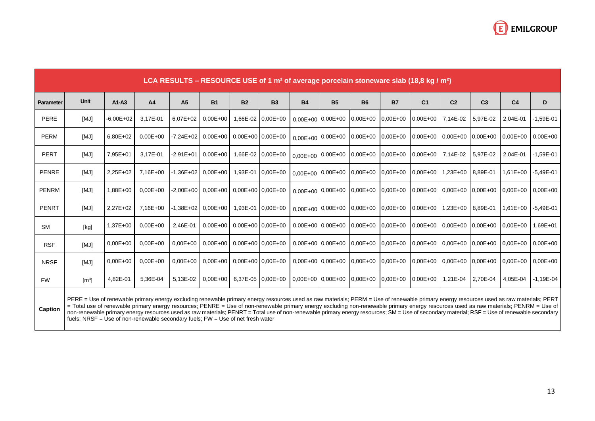

|              | LCA RESULTS – RESOURCE USE of 1 $m2$ of average porcelain stoneware slab (18,8 kg / $m2$ )                                                                                                                                                                                                                                                                                                                                                                                                                                                                                                                                                                           |               |              |              |                                        |                       |                     |                       |           |              |                     |                |                              |                |                |               |
|--------------|----------------------------------------------------------------------------------------------------------------------------------------------------------------------------------------------------------------------------------------------------------------------------------------------------------------------------------------------------------------------------------------------------------------------------------------------------------------------------------------------------------------------------------------------------------------------------------------------------------------------------------------------------------------------|---------------|--------------|--------------|----------------------------------------|-----------------------|---------------------|-----------------------|-----------|--------------|---------------------|----------------|------------------------------|----------------|----------------|---------------|
| Parameter    | <b>Unit</b>                                                                                                                                                                                                                                                                                                                                                                                                                                                                                                                                                                                                                                                          | $A1-A3$       | A4           | <b>A5</b>    | <b>B1</b>                              | <b>B2</b>             | <b>B3</b>           | <b>B4</b>             | <b>B5</b> | <b>B6</b>    | <b>B7</b>           | C <sub>1</sub> | C <sub>2</sub>               | C <sub>3</sub> | C <sub>4</sub> | D             |
| <b>PERE</b>  | [MJ]                                                                                                                                                                                                                                                                                                                                                                                                                                                                                                                                                                                                                                                                 | $-6,00E + 02$ | 3,17E-01     | $6.07E + 02$ | $0.00E + 00$                           |                       | 1,66E-02 0,00E+00   | $0.00E+00$ 0.00E+00   |           | $0.00E + 00$ | $0.00E + 00$        | $0.00E + 00$   | 7,14E-02                     | 5,97E-02       | 2,04E-01       | $-1,59E-01$   |
| PERM         | [MJ]                                                                                                                                                                                                                                                                                                                                                                                                                                                                                                                                                                                                                                                                 | $6,80E+02$    | $0.00E + 00$ |              | $-7,24E+02$ 0,00E+00                   | $0.00E+00$ 0.00E+00   |                     | $0,00E+00$ 0,00E+00   |           | $0.00E + 00$ | $0.00E + 00$        |                | $0,00E+00$ 0,00E+00 0,00E+00 |                | $0.00E + 00$   | $0,00E+00$    |
| <b>PERT</b>  | [MJ]                                                                                                                                                                                                                                                                                                                                                                                                                                                                                                                                                                                                                                                                 | 7,95E+01      | 3,17E-01     |              | $-2,91E+01$ 0,00E+00                   |                       | 1,66E-02 0,00E+00   | $0,00E+00$ 0,00E+00   |           | $0,00E+00$   | $0,00E+00$          | $0,00E+00$     | 7,14E-02 5,97E-02            |                | 2,04E-01       | $-1,59E-01$   |
| <b>PENRE</b> | [MJ]                                                                                                                                                                                                                                                                                                                                                                                                                                                                                                                                                                                                                                                                 | $2,25E+02$    | 7,16E+00     |              | $-1,36E+02$ 0,00E+00                   |                       | 1,93E-01 0,00E+00   | $0,00E+00$ 0,00E+00   |           | $0.00E + 00$ | $0.00E + 00$        | $0.00E + 00$   | 1,23E+00 8,89E-01            |                | $1,61E+00$     | $-5,49E-01$   |
| <b>PENRM</b> | [MJ]                                                                                                                                                                                                                                                                                                                                                                                                                                                                                                                                                                                                                                                                 | 1,88E+00      | $0.00E + 00$ |              | $-2,00E+00$ 0.00E+00 0.00E+00 0.00E+00 |                       |                     | $0,00E+00$ 0,00E+00   |           | $0.00E + 00$ | $0.00E + 00$        |                | $0.00E+00$ 0.00E+00 0.00E+00 |                | $0.00E + 00$   | $0.00E + 00$  |
| <b>PENRT</b> | [MJ]                                                                                                                                                                                                                                                                                                                                                                                                                                                                                                                                                                                                                                                                 | $2.27E + 02$  | 7.16E+00     |              | $-1,38E+02$ 0,00E+00                   |                       | 1,93E-01 0,00E+00   | $0,00E+00$ 0,00E+00   |           | $0,00E + 00$ | $0.00E + 00$        | $0.00E + 00$   | 1.23E+00 8.89E-01            |                | $1.61E + 00$   | $-5.49E - 01$ |
| <b>SM</b>    | [kg]                                                                                                                                                                                                                                                                                                                                                                                                                                                                                                                                                                                                                                                                 | 1,37E+00      | $0.00E + 00$ | 2,46E-01     | $0.00E + 00$                           |                       | $0.00E+00$ 0.00E+00 | $0.00E + 00$ 0.00E+00 |           | $0.00E + 00$ | $0.00E + 00$        |                | $0.00E+00$ 0.00E+00 0.00E+00 |                | $0.00E + 00$   | $1,69E+01$    |
| <b>RSF</b>   | [MJ]                                                                                                                                                                                                                                                                                                                                                                                                                                                                                                                                                                                                                                                                 | $0,00E + 00$  | $0.00E + 00$ | $0.00E + 00$ | $0.00E + 00$                           | $0.00E + 00$ 0.00E+00 |                     | $0,00E+00$ 0,00E+00   |           | $0.00E + 00$ | $0.00E + 00$        |                | $0.00E+00$ 0.00E+00 0.00E+00 |                | $0.00E + 00$   | $0.00E + 00$  |
| <b>NRSF</b>  | [MJ]                                                                                                                                                                                                                                                                                                                                                                                                                                                                                                                                                                                                                                                                 | $0.00E + 00$  | $0.00E + 00$ | $0.00E + 00$ | $0.00E + 00$                           | $0.00E + 00$ 0.00E+00 |                     | $0.00E + 00$ 0.00E+00 |           | $0.00E + 00$ | $0.00E + 00$        |                | $0.00E+00$ 0.00E+00 0.00E+00 |                | $0.00E + 00$   | $0.00E + 00$  |
| <b>FW</b>    | $\text{[m}^3\text{]}$                                                                                                                                                                                                                                                                                                                                                                                                                                                                                                                                                                                                                                                | 4,82E-01      | 5,36E-04     | 5.13E-02     | $0.00E + 00$                           |                       | 6,37E-05 0,00E+00   | $0.00E+00$ 0.00E+00   |           | $0.00E + 00$ | $0,00E+00$ 0,00E+00 |                | 1.21E-04                     | 2.70E-04       | 4,05E-04       | $-1.19E - 04$ |
| Caption      | PERE = Use of renewable primary energy excluding renewable primary energy resources used as raw materials; PERM = Use of renewable primary energy resources used as raw materials; PERT<br>= Total use of renewable primary energy resources; PENRE = Use of non-renewable primary energy excluding non-renewable primary energy resources used as raw materials; PENRM = Use of<br>non-renewable primary energy resources used as raw materials; PENRT = Total use of non-renewable primary energy resources; SM = Use of secondary material; RSF = Use of renewable secondary<br>fuels; NRSF = Use of non-renewable secondary fuels; $FW = Use$ of net fresh water |               |              |              |                                        |                       |                     |                       |           |              |                     |                |                              |                |                |               |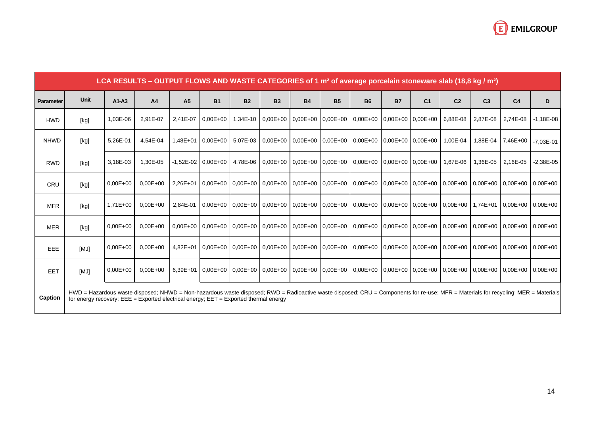

|             | LCA RESULTS – OUTPUT FLOWS AND WASTE CATEGORIES of 1 $m2$ of average porcelain stoneware slab (18,8 kg / $m2$ )                                                                                                                                                                 |              |                |                |                        |           |           |           |           |                                                                            |           |                |                |                |                                                                                                                                                                                                                           |             |
|-------------|---------------------------------------------------------------------------------------------------------------------------------------------------------------------------------------------------------------------------------------------------------------------------------|--------------|----------------|----------------|------------------------|-----------|-----------|-----------|-----------|----------------------------------------------------------------------------|-----------|----------------|----------------|----------------|---------------------------------------------------------------------------------------------------------------------------------------------------------------------------------------------------------------------------|-------------|
| Parameter   | <b>Unit</b>                                                                                                                                                                                                                                                                     | $A1-A3$      | A <sub>4</sub> | A <sub>5</sub> | <b>B1</b>              | <b>B2</b> | <b>B3</b> | <b>B4</b> | <b>B5</b> | <b>B6</b>                                                                  | <b>B7</b> | C <sub>1</sub> | C <sub>2</sub> | C <sub>3</sub> | C <sub>4</sub>                                                                                                                                                                                                            | D           |
| <b>HWD</b>  | [kg]                                                                                                                                                                                                                                                                            | 1,03E-06     | 2,91E-07       | 2.41E-07       | $0.00E + 00$           | 1.34E-10  |           |           |           | 0.00E+00   0.00E+00   0.00E+00   0.00E+00   0.00E+00   0.00E+00   6.88E-08 |           |                |                | 2,87E-08       | 2,74E-08                                                                                                                                                                                                                  | $-1,18E-08$ |
| <b>NHWD</b> | [kg]                                                                                                                                                                                                                                                                            | 5,26E-01     | 4.54E-04       |                | $1.48E+01$ 0.00E+00    | 5.07E-03  |           |           |           | $0.00E+00$ 0.00E+00 0.00E+00 0.00E+00 0.00E+00 0.00E+00                    |           |                | 1.00E-04       | 1.88E-04       | 7,46E+00                                                                                                                                                                                                                  | $-7,03E-01$ |
| <b>RWD</b>  | [kg]                                                                                                                                                                                                                                                                            | 3,18E-03     | 1,30E-05       |                | $-1.52E - 02$ 0.00E+00 | 4,78E-06  |           |           |           | 0,00E+00 0,00E+00 0,00E+00 0,00E+00 0,00E+00 0,00E+00 1,67E-06             |           |                |                | 1,36E-05       | 2,16E-05                                                                                                                                                                                                                  | $-2,38E-05$ |
| CRU         | [kg]                                                                                                                                                                                                                                                                            | $0.00E + 00$ | $0.00E + 00$   |                |                        |           |           |           |           |                                                                            |           |                |                |                | 2,26E+01 0,00E+00 0,00E+00 0,00E+00 0,00E+00 0,00E+00 0,00E+00 0,00E+00 0,00E+00 0,00E+00 0,00E+00 0,00E+00 0,00E+00 0,00E+00 0,00E+00                                                                                    |             |
| <b>MFR</b>  | [kg]                                                                                                                                                                                                                                                                            | $1,71E+00$   | $0.00E + 00$   | 2.84E-01       |                        |           |           |           |           |                                                                            |           |                |                |                | 0.00E+00   0.00E+00   0.00E+00   0.00E+00   0.00E+00   0.00E+00   0.00E+00   0.00E+00   0.00E+00   1.74E+01   0.00E+00   0.00E+00   0.00E+00   0.00E+00   0.00E+00   0.00E+00   0.00E+00   0.00E+00   0.00E+00   0.00E+00 |             |
| <b>MER</b>  | [kg]                                                                                                                                                                                                                                                                            | $0.00E + 00$ | $0.00E + 00$   |                |                        |           |           |           |           |                                                                            |           |                |                |                | $0.00E + 00$ $0.00E + 00$ $0.00E + 00$ $0.00E + 00$ $0.00E + 00$ $0.00E + 00$ $0.00E + 00$ $0.00E + 00$ $0.00E + 00$ $0.00E + 00$ $0.00E + 00$ $0.00E + 00$                                                               |             |
| EEE         | [MJ]                                                                                                                                                                                                                                                                            | $0.00E + 00$ | $0.00E + 00$   | $4.82E + 01$   |                        |           |           |           |           |                                                                            |           |                |                |                | 0.00E+00   0.00E+00   0.00E+00   0.00E+00   0.00E+00   0.00E+00  0.00E+00  0.00E+00   0.00E+00  0.00E+00  0.00E+00  0.00E+00  0.00E+00                                                                                    |             |
| <b>EET</b>  | [MJ]                                                                                                                                                                                                                                                                            | $0.00E + 00$ | $0.00E + 00$   |                |                        |           |           |           |           |                                                                            |           |                |                |                | 6,39E+01 0,00E+00 0,00E+00 0,00E+00 0,00E+00 0,00E+00 0,00E+00 0,00E+00 0,00E+00 0,00E+00 0,00E+00 0,00E+00 0,00E+00 0,00E+00 0,00E+00                                                                                    |             |
| Caption     | HWD = Hazardous waste disposed; NHWD = Non-hazardous waste disposed; RWD = Radioactive waste disposed; CRU = Components for re-use; MFR = Materials for recycling; MER = Materials<br>for energy recovery; $EEE = Exported electrical energy$ ; $EET = Exported thermal energy$ |              |                |                |                        |           |           |           |           |                                                                            |           |                |                |                |                                                                                                                                                                                                                           |             |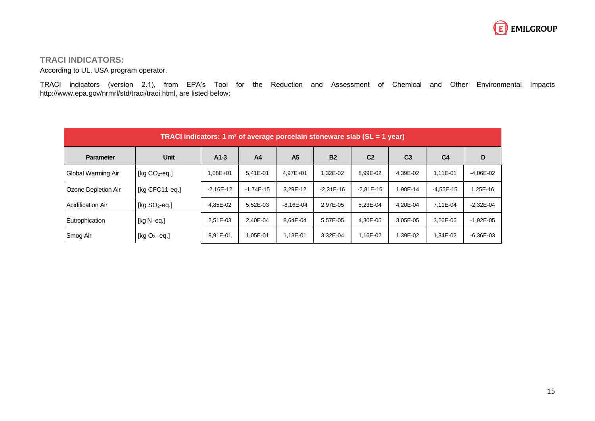

## **TRACI INDICATORS:**

According to UL, USA program operator.

TRACI indicators (version 2.1), from EPA's Tool for the Reduction and Assessment of Chemical and Other Environmental Impacts http://www.epa.gov/nrmrl/std/traci/traci.html, are listed below:

| TRACI indicators: 1 $m2$ of average porcelain stoneware slab (SL = 1 year) |                  |               |                |                |               |                |                |                |             |  |  |
|----------------------------------------------------------------------------|------------------|---------------|----------------|----------------|---------------|----------------|----------------|----------------|-------------|--|--|
| <b>Parameter</b>                                                           | <b>Unit</b>      | $A1-3$        | A <sub>4</sub> | A <sub>5</sub> | <b>B2</b>     | C <sub>2</sub> | C <sub>3</sub> | C <sub>4</sub> | D           |  |  |
| Global Warming Air                                                         | [kg $CO2$ -eq.]  | 1,08E+01      | 5,41E-01       | 4,97E+01       | $,32E-02$     | 8,99E-02       | 4,39E-02       | 1,11E-01       | $-4,06E-02$ |  |  |
| Ozone Depletion Air                                                        | [kg CFC11-eq.]   | $-2.16E - 12$ | $-1.74E-15$    | 3,29E-12       | $-2.31E - 16$ | $-2.81E-16$    | 1.98E-14       | $-4.55E-15$    | 1.25E-16    |  |  |
| <b>Acidification Air</b>                                                   | [kg $SO2$ -eq.]  | 4,85E-02      | 5,52E-03       | $-8,16E-04$    | 2,97E-05      | 5,23E-04       | 4.20E-04       | 7.11E-04       | $-2,32E-04$ |  |  |
| Eutrophication                                                             | [ $kg N - eq.$ ] | 2.51E-03      | 2.40E-04       | 8.64E-04       | 5,57E-05      | 4.30E-05       | 3.05E-05       | 3.26E-05       | $-1,92E-05$ |  |  |
| Smog Air                                                                   | [kg $O_3$ -eq.]  | 8.91E-01      | 1,05E-01       | 1,13E-01       | 3,32E-04      | 1,16E-02       | 1,39E-02       | 1,34E-02       | $-6,36E-03$ |  |  |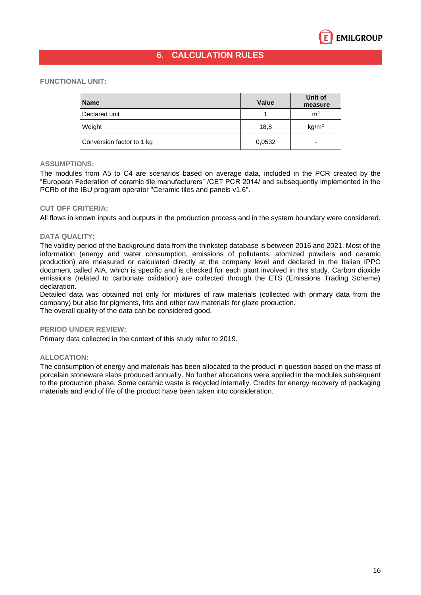

## **6. CALCULATION RULES**

#### **FUNCTIONAL UNIT:**

| <b>Name</b>               | Value  | Unit of<br>measure |
|---------------------------|--------|--------------------|
| Declared unit             |        | m <sup>2</sup>     |
| Weight                    | 18,8   | kg/m <sup>2</sup>  |
| Conversion factor to 1 kg | 0,0532 | -                  |

#### **ASSUMPTIONS:**

The modules from A5 to C4 are scenarios based on average data, included in the PCR created by the "European Federation of ceramic tile manufacturers" /CET PCR 2014/ and subsequently implemented in the PCRb of the IBU program operator "Ceramic tiles and panels v1.6".

#### **CUT OFF CRITERIA:**

All flows in known inputs and outputs in the production process and in the system boundary were considered.

#### **DATA QUALITY:**

The validity period of the background data from the thinkstep database is between 2016 and 2021. Most of the information (energy and water consumption, emissions of pollutants, atomized powders and ceramic production) are measured or calculated directly at the company level and declared in the Italian IPPC document called AIA, which is specific and is checked for each plant involved in this study. Carbon dioxide emissions (related to carbonate oxidation) are collected through the ETS (Emissions Trading Scheme) declaration.

Detailed data was obtained not only for mixtures of raw materials (collected with primary data from the company) but also for pigments, frits and other raw materials for glaze production. The overall quality of the data can be considered good.

#### **PERIOD UNDER REVIEW:**

Primary data collected in the context of this study refer to 2019.

#### **ALLOCATION:**

The consumption of energy and materials has been allocated to the product in question based on the mass of porcelain stoneware slabs produced annually. No further allocations were applied in the modules subsequent to the production phase. Some ceramic waste is recycled internally. Credits for energy recovery of packaging materials and end of life of the product have been taken into consideration.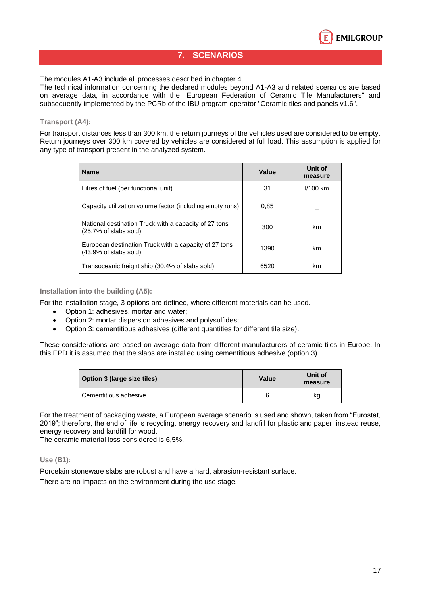

## **7. SCENARIOS**

The modules A1-A3 include all processes described in chapter 4.

The technical information concerning the declared modules beyond A1-A3 and related scenarios are based on average data, in accordance with the "European Federation of Ceramic Tile Manufacturers" and subsequently implemented by the PCRb of the IBU program operator "Ceramic tiles and panels v1.6".

### **Transport (A4):**

For transport distances less than 300 km, the return journeys of the vehicles used are considered to be empty. Return journeys over 300 km covered by vehicles are considered at full load. This assumption is applied for any type of transport present in the analyzed system.

| <b>Name</b>                                                                               | Value | Unit of<br>measure |  |
|-------------------------------------------------------------------------------------------|-------|--------------------|--|
| Litres of fuel (per functional unit)                                                      | 31    | $1/100$ km         |  |
| Capacity utilization volume factor (including empty runs)                                 | 0.85  |                    |  |
| National destination Truck with a capacity of 27 tons<br>$(25.7\% \text{ of slabs sold})$ | 300   | km                 |  |
| European destination Truck with a capacity of 27 tons<br>$(43.9%$ of slabs sold)          | 1390  | km                 |  |
| Transoceanic freight ship (30.4% of slabs sold)                                           | 6520  | km                 |  |

#### **Installation into the building (A5):**

For the installation stage, 3 options are defined, where different materials can be used.

- Option 1: adhesives, mortar and water;
- Option 2: mortar dispersion adhesives and polysulfides;
- Option 3: cementitious adhesives (different quantities for different tile size).

These considerations are based on average data from different manufacturers of ceramic tiles in Europe. In this EPD it is assumed that the slabs are installed using cementitious adhesive (option 3).

| Option 3 (large size tiles) | Value | Unit of<br>measure |
|-----------------------------|-------|--------------------|
| Cementitious adhesive       | 6     | kg                 |

For the treatment of packaging waste, a European average scenario is used and shown, taken from "Eurostat, 2019"; therefore, the end of life is recycling, energy recovery and landfill for plastic and paper, instead reuse, energy recovery and landfill for wood.

The ceramic material loss considered is 6,5%.

#### **Use (B1):**

Porcelain stoneware slabs are robust and have a hard, abrasion-resistant surface.

There are no impacts on the environment during the use stage.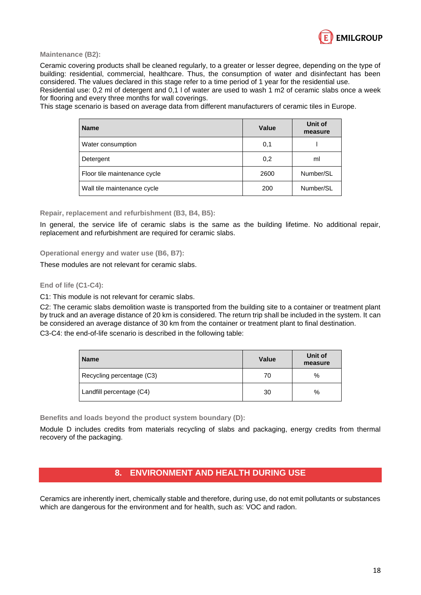

**Maintenance (B2):**

Ceramic covering products shall be cleaned regularly, to a greater or lesser degree, depending on the type of building: residential, commercial, healthcare. Thus, the consumption of water and disinfectant has been considered. The values declared in this stage refer to a time period of 1 year for the residential use.

Residential use: 0,2 ml of detergent and 0,1 l of water are used to wash 1 m2 of ceramic slabs once a week for flooring and every three months for wall coverings.

This stage scenario is based on average data from different manufacturers of ceramic tiles in Europe.

| <b>Name</b>                  | <b>Value</b> | Unit of<br>measure |
|------------------------------|--------------|--------------------|
| Water consumption            | 0,1          |                    |
| Detergent                    | 0,2          | ml                 |
| Floor tile maintenance cycle | 2600         | Number/SL          |
| Wall tile maintenance cycle  | 200          | Number/SL          |

**Repair, replacement and refurbishment (B3, B4, B5):**

In general, the service life of ceramic slabs is the same as the building lifetime. No additional repair, replacement and refurbishment are required for ceramic slabs.

**Operational energy and water use (B6, B7):** 

These modules are not relevant for ceramic slabs.

#### **End of life (C1-C4):**

C1: This module is not relevant for ceramic slabs.

C2: The ceramic slabs demolition waste is transported from the building site to a container or treatment plant by truck and an average distance of 20 km is considered. The return trip shall be included in the system. It can be considered an average distance of 30 km from the container or treatment plant to final destination.

C3-C4: the end-of-life scenario is described in the following table:

| <b>Name</b>               | <b>Value</b> | Unit of<br>measure |
|---------------------------|--------------|--------------------|
| Recycling percentage (C3) | 70           | %                  |
| Landfill percentage (C4)  | 30           | %                  |

**Benefits and loads beyond the product system boundary (D):**

Module D includes credits from materials recycling of slabs and packaging, energy credits from thermal recovery of the packaging.

## **8. ENVIRONMENT AND HEALTH DURING USE**

Ceramics are inherently inert, chemically stable and therefore, during use, do not emit pollutants or substances which are dangerous for the environment and for health, such as: VOC and radon.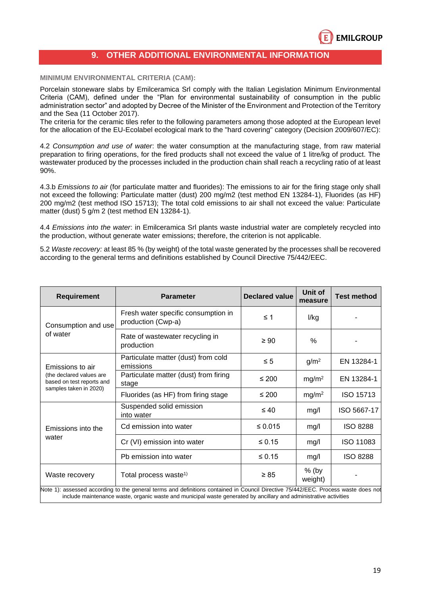

## **9. OTHER ADDITIONAL ENVIRONMENTAL INFORMATION**

#### **MINIMUM ENVIRONMENTAL CRITERIA (CAM):**

Porcelain stoneware slabs by Emilceramica Srl comply with the Italian Legislation Minimum Environmental Criteria (CAM), defined under the "Plan for environmental sustainability of consumption in the public administration sector" and adopted by Decree of the Minister of the Environment and Protection of the Territory and the Sea (11 October 2017).

The criteria for the ceramic tiles refer to the following parameters among those adopted at the European level for the allocation of the EU-Ecolabel ecological mark to the "hard covering" category (Decision 2009/607/EC):

4.2 *Consumption and use of water*: the water consumption at the manufacturing stage, from raw material preparation to firing operations, for the fired products shall not exceed the value of 1 litre/kg of product. The wastewater produced by the processes included in the production chain shall reach a recycling ratio of at least 90%.

4.3.b *Emissions to air* (for particulate matter and fluorides): The emissions to air for the firing stage only shall not exceed the following: Particulate matter (dust) 200 mg/m2 (test method EN 13284-1), Fluorides (as HF) 200 mg/m2 (test method ISO 15713); The total cold emissions to air shall not exceed the value: Particulate matter (dust) 5 g/m 2 (test method EN 13284-1).

4.4 *Emissions into the water*: in Emilceramica Srl plants waste industrial water are completely recycled into the production, without generate water emissions; therefore, the criterion is not applicable.

5.2 *Waste recovery:* at least 85 % (by weight) of the total waste generated by the processes shall be recovered according to the general terms and definitions established by Council Directive 75/442/EEC.

| <b>Requirement</b>                                                                                                                                                                                                                                      | <b>Parameter</b>                                          | <b>Declared value</b> | Unit of<br>measure | <b>Test method</b> |
|---------------------------------------------------------------------------------------------------------------------------------------------------------------------------------------------------------------------------------------------------------|-----------------------------------------------------------|-----------------------|--------------------|--------------------|
| Consumption and use<br>of water                                                                                                                                                                                                                         | Fresh water specific consumption in<br>production (Cwp-a) | $\leq 1$              | l/kg               |                    |
|                                                                                                                                                                                                                                                         | Rate of wastewater recycling in<br>production             | $\geq 90$             | $\%$               |                    |
| Emissions to air<br>(the declared values are<br>based on test reports and<br>samples taken in 2020)                                                                                                                                                     | Particulate matter (dust) from cold<br>emissions          | $\leq 5$              | g/m <sup>2</sup>   | EN 13284-1         |
|                                                                                                                                                                                                                                                         | Particulate matter (dust) from firing<br>stage            | ≤ 200                 | mg/m <sup>2</sup>  | EN 13284-1         |
|                                                                                                                                                                                                                                                         | Fluorides (as HF) from firing stage                       | ≤ 200                 | mg/m <sup>2</sup>  | ISO 15713          |
| Emissions into the<br>water                                                                                                                                                                                                                             | Suspended solid emission<br>into water                    | $\leq 40$             | mg/l               | ISO 5667-17        |
|                                                                                                                                                                                                                                                         | Cd emission into water                                    | $\leq 0.015$          | mg/l               | <b>ISO 8288</b>    |
|                                                                                                                                                                                                                                                         | Cr (VI) emission into water                               | $\leq 0.15$           | mg/l               | ISO 11083          |
|                                                                                                                                                                                                                                                         | Pb emission into water                                    | $\leq 0.15$           | mg/l               | <b>ISO 8288</b>    |
| Waste recovery                                                                                                                                                                                                                                          | Total process waste <sup>1)</sup>                         | $\geq 85$             | $%$ (by<br>weight) |                    |
| Note 1): assessed according to the general terms and definitions contained in Council Directive 75/442/EEC. Process waste does not<br>include maintenance waste, organic waste and municipal waste generated by ancillary and administrative activities |                                                           |                       |                    |                    |